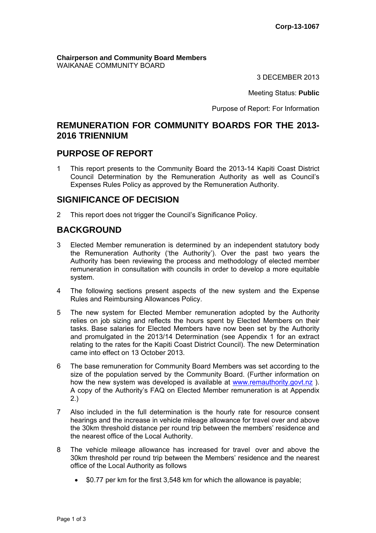**Chairperson and Community Board Members** WAIKANAE COMMUNITY BOARD

3 DECEMBER 2013

Meeting Status: **Public**

Purpose of Report: For Information

## **REMUNERATION FOR COMMUNITY BOARDS FOR THE 2013- 2016 TRIENNIUM**

### **PURPOSE OF REPORT**

1 This report presents to the Community Board the 2013-14 Kapiti Coast District Council Determination by the Remuneration Authority as well as Council's Expenses Rules Policy as approved by the Remuneration Authority.

## **SIGNIFICANCE OF DECISION**

2 This report does not trigger the Council's Significance Policy.

# **BACKGROUND**

- 3 Elected Member remuneration is determined by an independent statutory body the Remuneration Authority ('the Authority'). Over the past two years the Authority has been reviewing the process and methodology of elected member remuneration in consultation with councils in order to develop a more equitable system.
- 4 The following sections present aspects of the new system and the Expense Rules and Reimbursing Allowances Policy.
- 5 The new system for Elected Member remuneration adopted by the Authority relies on job sizing and reflects the hours spent by Elected Members on their tasks. Base salaries for Elected Members have now been set by the Authority and promulgated in the 2013/14 Determination (see Appendix 1 for an extract relating to the rates for the Kapiti Coast District Council). The new Determination came into effect on 13 October 2013.
- 6 The base remuneration for Community Board Members was set according to the size of the population served by the Community Board. (Further information on how the new system was developed is available at www.remauthority.govt.nz). A copy of the Authority's FAQ on Elected Member remuneration is at Appendix 2.)
- 7 Also included in the full determination is the hourly rate for resource consent hearings and the increase in vehicle mileage allowance for travel over and above the 30km threshold distance per round trip between the members' residence and the nearest office of the Local Authority.
- 8 The vehicle mileage allowance has increased for travel over and above the 30km threshold per round trip between the Members' residence and the nearest office of the Local Authority as follows
	- \$0.77 per km for the first 3,548 km for which the allowance is payable;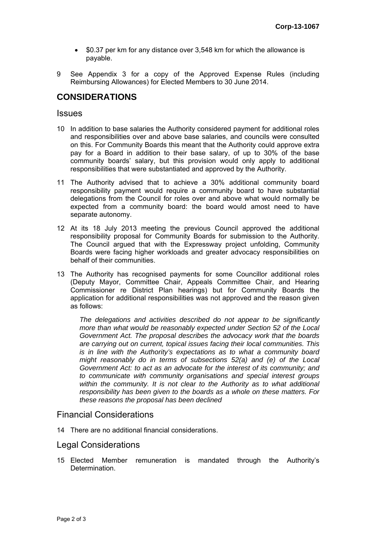- \$0.37 per km for any distance over 3,548 km for which the allowance is payable.
- 9 See Appendix 3 for a copy of the Approved Expense Rules (including Reimbursing Allowances) for Elected Members to 30 June 2014.

## **CONSIDERATIONS**

#### **Issues**

- 10 In addition to base salaries the Authority considered payment for additional roles and responsibilities over and above base salaries, and councils were consulted on this. For Community Boards this meant that the Authority could approve extra pay for a Board in addition to their base salary, of up to 30% of the base community boards' salary, but this provision would only apply to additional responsibilities that were substantiated and approved by the Authority.
- 11 The Authority advised that to achieve a 30% additional community board responsibility payment would require a community board to have substantial delegations from the Council for roles over and above what would normally be expected from a community board: the board would amost need to have separate autonomy.
- 12 At its 18 July 2013 meeting the previous Council approved the additional responsibility proposal for Community Boards for submission to the Authority. The Council argued that with the Expressway project unfolding, Community Boards were facing higher workloads and greater advocacy responsibilities on behalf of their communities.
- 13 The Authority has recognised payments for some Councillor additional roles (Deputy Mayor, Committee Chair, Appeals Committee Chair, and Hearing Commissioner re District Plan hearings) but for Community Boards the application for additional responsibilities was not approved and the reason given as follows:

*The delegations and activities described do not appear to be significantly more than what would be reasonably expected under Section 52 of the Local Government Act. The proposal describes the advocacy work that the boards are carrying out on current, topical issues facing their local communities. This is in line with the Authority's expectations as to what a community board might reasonably do in terms of subsections 52(a) and (e) of the Local Government Act: to act as an advocate for the interest of its community; and to communicate with community organisations and special interest groups within the community. It is not clear to the Authority as to what additional responsibility has been given to the boards as a whole on these matters. For these reasons the proposal has been declined*

#### Financial Considerations

14 There are no additional financial considerations.

#### Legal Considerations

15 Elected Member remuneration is mandated through the Authority's **Determination**